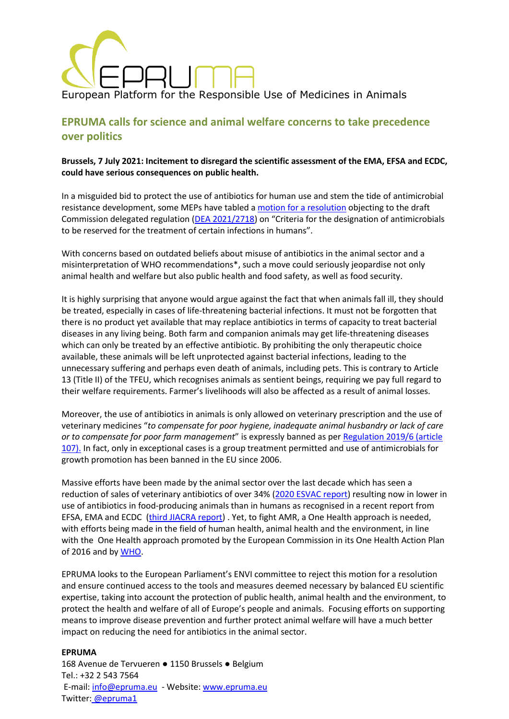

# **EPRUMA calls for science and animal welfare concerns to take precedence over politics**

## **Brussels, 7 July 2021: Incitement to disregard the scientific assessment of the EMA, EFSA and ECDC, could have serious consequences on public health.**

In a misguided bid to protect the use of antibiotics for human use and stem the tide of antimicrobial resistance development, some MEPs have tabled [a motion for a resolution](https://martin-haeusling.eu/images/210706_Draft_resolution_-_Objection_DA_on_antimicrobials_2021.pdf) objecting to the draft Commission delegated regulation [\(DEA 2021/2718](https://oeil.secure.europarl.europa.eu/oeil/popups/ficheprocedure.do?lang=en&reference=2021/2718(DEA))) on "Criteria for the designation of antimicrobials to be reserved for the treatment of certain infections in humans".

With concerns based on outdated beliefs about misuse of antibiotics in the animal sector and a misinterpretation of WHO recommendations\*, such a move could seriously jeopardise not only animal health and welfare but also public health and food safety, as well as food security.

It is highly surprising that anyone would argue against the fact that when animals fall ill, they should be treated, especially in cases of life-threatening bacterial infections. It must not be forgotten that there is no product yet available that may replace antibiotics in terms of capacity to treat bacterial diseases in any living being. Both farm and companion animals may get life-threatening diseases which can only be treated by an effective antibiotic. By prohibiting the only therapeutic choice available, these animals will be left unprotected against bacterial infections, leading to the unnecessary suffering and perhaps even death of animals, including pets. This is contrary to Article 13 (Title II) of the TFEU, which recognises animals as sentient beings, requiring we pay full regard to their welfare requirements. Farmer's livelihoods will also be affected as a result of animal losses.

Moreover, the use of antibiotics in animals is only allowed on veterinary prescription and the use of veterinary medicines "*to compensate for poor hygiene, inadequate animal husbandry or lack of care or to compensate for poor farm management*" is expressly banned as per [Regulation 2019/6 \(article](https://eur-lex.europa.eu/eli/reg/2019/6/oj)  [107\).](https://eur-lex.europa.eu/eli/reg/2019/6/oj) In fact, only in exceptional cases is a group treatment permitted and use of antimicrobials for growth promotion has been banned in the EU since 2006.

Massive efforts have been made by the animal sector over the last decade which has seen a reduction of sales of veterinary antibiotics of over 34% [\(2020 ESVAC](https://www.ema.europa.eu/en/veterinary-regulatory/overview/antimicrobial-resistance/european-surveillance-veterinary-antimicrobial-consumption-esvac) report) resulting now in lower in use of antibiotics in food-producing animals than in humans as recognised in a recent report from EFSA, EMA and ECDC [\(third JIACRA report\)](https://www.efsa.europa.eu/en/news/use-antibiotics-animals-decreasing). Yet, to fight AMR, a One Health approach is needed, with efforts being made in the field of human health, animal health and the environment, in line with the One Health approach promoted by the European Commission in its One Health Action Plan of 2016 and by [WHO.](https://www.who.int/news/item/30-05-2018-international-partnership-to-address-human-animal-environment-health-risks-gets-a-boost)

EPRUMA looks to the European Parliament's ENVI committee to reject this motion for a resolution and ensure continued access to the tools and measures deemed necessary by balanced EU scientific expertise, taking into account the protection of public health, animal health and the environment, to protect the health and welfare of all of Europe's people and animals. Focusing efforts on supporting means to improve disease prevention and further protect animal welfare will have a much better impact on reducing the need for antibiotics in the animal sector.

#### **EPRUMA**

168 Avenue de Tervueren ● 1150 Brussels ● Belgium Tel.: +32 2 543 7564 E-mail: [info@epruma.eu](mailto:info@epruma.eu) - Website: [www.epruma.eu](http://www.epruma.eu/) Twitter: [@epruma1](https://twitter.com/epruma1)